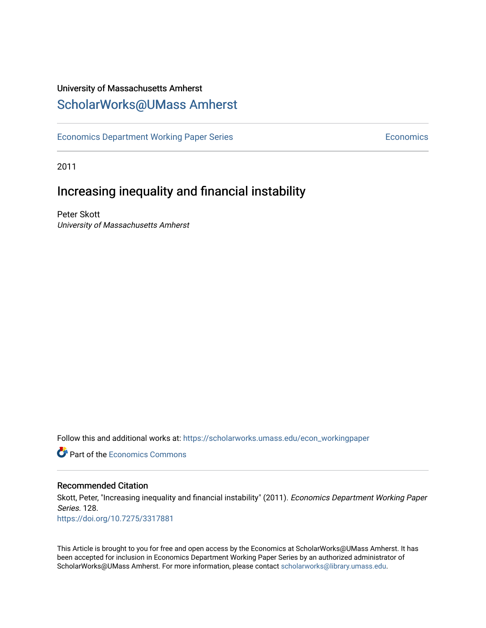## University of Massachusetts Amherst [ScholarWorks@UMass Amherst](https://scholarworks.umass.edu/)

[Economics Department Working Paper Series](https://scholarworks.umass.edu/econ_workingpaper) **Economics** Economics

2011

## Increasing inequality and financial instability

Peter Skott University of Massachusetts Amherst

Follow this and additional works at: [https://scholarworks.umass.edu/econ\\_workingpaper](https://scholarworks.umass.edu/econ_workingpaper?utm_source=scholarworks.umass.edu%2Fecon_workingpaper%2F128&utm_medium=PDF&utm_campaign=PDFCoverPages) 

**C** Part of the [Economics Commons](http://network.bepress.com/hgg/discipline/340?utm_source=scholarworks.umass.edu%2Fecon_workingpaper%2F128&utm_medium=PDF&utm_campaign=PDFCoverPages)

#### Recommended Citation

Skott, Peter, "Increasing inequality and financial instability" (2011). Economics Department Working Paper Series. 128.

<https://doi.org/10.7275/3317881>

This Article is brought to you for free and open access by the Economics at ScholarWorks@UMass Amherst. It has been accepted for inclusion in Economics Department Working Paper Series by an authorized administrator of ScholarWorks@UMass Amherst. For more information, please contact [scholarworks@library.umass.edu.](mailto:scholarworks@library.umass.edu)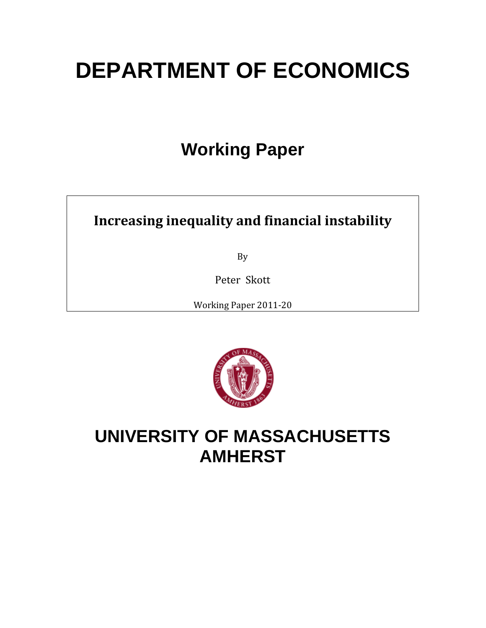# **DEPARTMENT OF ECONOMICS**

## **Working Paper**

## **Increasing inequality and financial instability**

By

Peter Skott

Working Paper 2011‐20



## **UNIVERSITY OF MASSACHUSETTS AMHERST**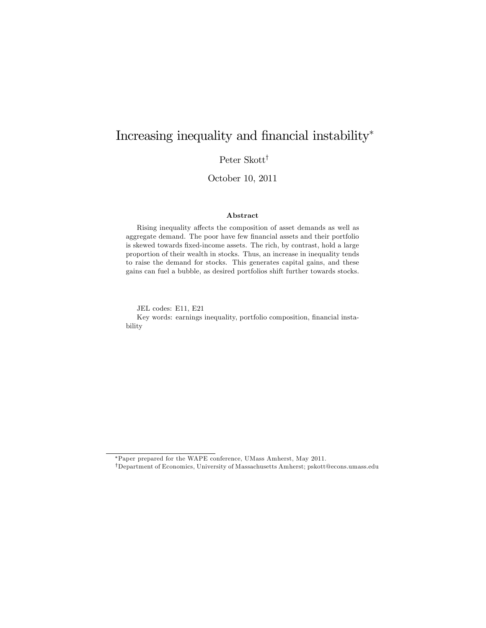## Increasing inequality and financial instability\*

Peter Skott $^\dagger$ 

October 10, 2011

#### Abstract

Rising inequality affects the composition of asset demands as well as aggregate demand. The poor have few financial assets and their portfolio is skewed towards fixed-income assets. The rich, by contrast, hold a large proportion of their wealth in stocks. Thus, an increase in inequality tends to raise the demand for stocks. This generates capital gains, and these gains can fuel a bubble, as desired portfolios shift further towards stocks.

JEL codes: E11, E21

Key words: earnings inequality, portfolio composition, financial instability

Paper prepared for the WAPE conference, UMass Amherst, May 2011.

yDepartment of Economics, University of Massachusetts Amherst; pskott@econs.umass.edu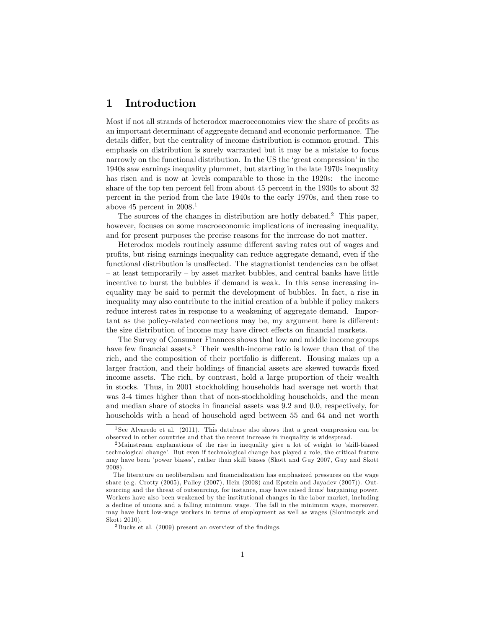### 1 Introduction

Most if not all strands of heterodox macroeconomics view the share of profits as an important determinant of aggregate demand and economic performance. The details differ, but the centrality of income distribution is common ground. This emphasis on distribution is surely warranted but it may be a mistake to focus narrowly on the functional distribution. In the US the 'great compression' in the 1940s saw earnings inequality plummet, but starting in the late 1970s inequality has risen and is now at levels comparable to those in the 1920s: the income share of the top ten percent fell from about 45 percent in the 1930s to about 32 percent in the period from the late 1940s to the early 1970s, and then rose to above 45 percent in  $2008<sup>1</sup>$ 

The sources of the changes in distribution are hotly debated.<sup>2</sup> This paper, however, focuses on some macroeconomic implications of increasing inequality, and for present purposes the precise reasons for the increase do not matter.

Heterodox models routinely assume different saving rates out of wages and proÖts, but rising earnings inequality can reduce aggregate demand, even if the functional distribution is unaffected. The stagnationist tendencies can be offset – at least temporarily – by asset market bubbles, and central banks have little incentive to burst the bubbles if demand is weak. In this sense increasing inequality may be said to permit the development of bubbles. In fact, a rise in inequality may also contribute to the initial creation of a bubble if policy makers reduce interest rates in response to a weakening of aggregate demand. Important as the policy-related connections may be, my argument here is different: the size distribution of income may have direct effects on financial markets.

The Survey of Consumer Finances shows that low and middle income groups have few financial assets.<sup>3</sup> Their wealth-income ratio is lower than that of the rich, and the composition of their portfolio is different. Housing makes up a larger fraction, and their holdings of financial assets are skewed towards fixed income assets. The rich, by contrast, hold a large proportion of their wealth in stocks. Thus, in 2001 stockholding households had average net worth that was 3-4 times higher than that of non-stockholding households, and the mean and median share of stocks in financial assets was 9.2 and 0.0, respectively, for households with a head of household aged between 55 and 64 and net worth

<sup>&</sup>lt;sup>1</sup> See Alvaredo et al. (2011). This database also shows that a great compression can be observed in other countries and that the recent increase in inequality is widespread.

<sup>&</sup>lt;sup>2</sup>Mainstream explanations of the rise in inequality give a lot of weight to 'skill-biased technological change'. But even if technological change has played a role, the critical feature may have been ëpower biasesí, rather than skill biases (Skott and Guy 2007, Guy and Skott 2008).

The literature on neoliberalism and financialization has emphasized pressures on the wage share (e.g. Crotty (2005), Palley (2007), Hein (2008) and Epstein and Jayadev (2007)). Outsourcing and the threat of outsourcing, for instance, may have raised firms' bargaining power. Workers have also been weakened by the institutional changes in the labor market, including a decline of unions and a falling minimum wage. The fall in the minimum wage, moreover, may have hurt low-wage workers in terms of employment as well as wages (Slonimczyk and Skott 2010).

 $3$  Bucks et al. (2009) present an overview of the findings.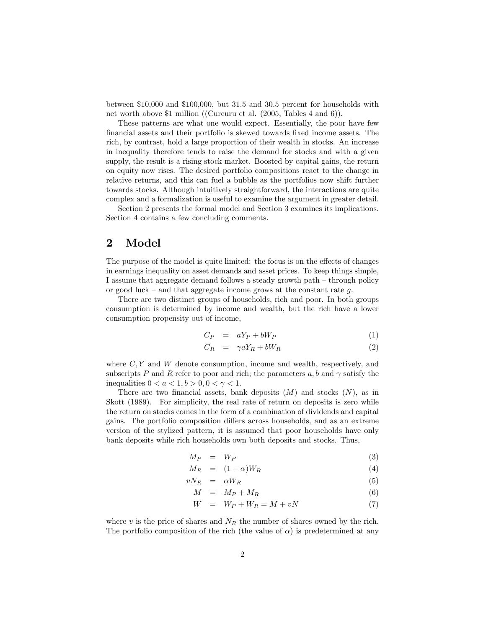between \$10,000 and \$100,000, but 31.5 and 30.5 percent for households with net worth above \$1 million ((Curcuru et al. (2005, Tables 4 and 6)).

These patterns are what one would expect. Essentially, the poor have few Önancial assets and their portfolio is skewed towards Öxed income assets. The rich, by contrast, hold a large proportion of their wealth in stocks. An increase in inequality therefore tends to raise the demand for stocks and with a given supply, the result is a rising stock market. Boosted by capital gains, the return on equity now rises. The desired portfolio compositions react to the change in relative returns, and this can fuel a bubble as the portfolios now shift further towards stocks. Although intuitively straightforward, the interactions are quite complex and a formalization is useful to examine the argument in greater detail.

Section 2 presents the formal model and Section 3 examines its implications. Section 4 contains a few concluding comments.

### 2 Model

The purpose of the model is quite limited: the focus is on the effects of changes in earnings inequality on asset demands and asset prices. To keep things simple, I assume that aggregate demand follows a steady growth path  $-$  through policy or good luck – and that aggregate income grows at the constant rate  $g$ .

There are two distinct groups of households, rich and poor. In both groups consumption is determined by income and wealth, but the rich have a lower consumption propensity out of income,

$$
C_P = aY_P + bW_P \tag{1}
$$

$$
C_R = \gamma a Y_R + bW_R \tag{2}
$$

where  $C, Y$  and  $W$  denote consumption, income and wealth, respectively, and subscripts P and R refer to poor and rich; the parameters  $a, b$  and  $\gamma$  satisfy the inequalities  $0 < a < 1, b > 0, 0 < \gamma < 1$ .

There are two financial assets, bank deposits  $(M)$  and stocks  $(N)$ , as in Skott (1989). For simplicity, the real rate of return on deposits is zero while the return on stocks comes in the form of a combination of dividends and capital gains. The portfolio composition differs across households, and as an extreme version of the stylized pattern, it is assumed that poor households have only bank deposits while rich households own both deposits and stocks. Thus,

$$
M_P = W_P \tag{3}
$$

$$
M_R = (1 - \alpha)W_R \tag{4}
$$

$$
vN_R = \alpha W_R \tag{5}
$$

$$
M = M_P + M_R \tag{6}
$$

$$
W = W_P + W_R = M + vN \tag{7}
$$

where v is the price of shares and  $N_R$  the number of shares owned by the rich. The portfolio composition of the rich (the value of  $\alpha$ ) is predetermined at any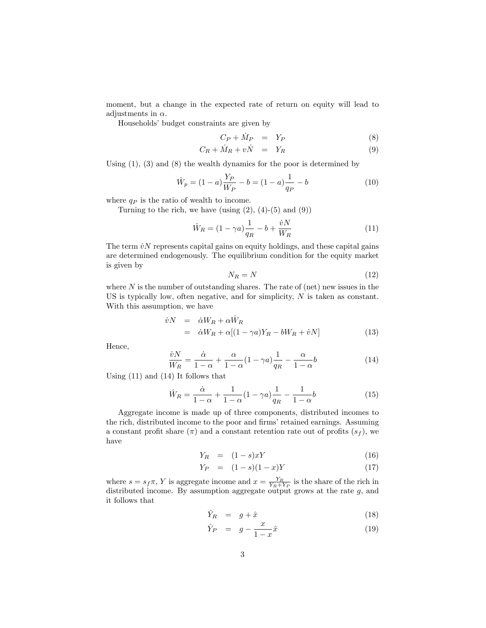moment, but a change in the expected rate of return on equity will lead to adjustments in  $\alpha$ .

Households' budget constraints are given by

$$
C_P + \dot{M}_P = Y_P \tag{8}
$$

$$
C_R + \dot{M}_R + v\dot{N} = Y_R \tag{9}
$$

Using (1), (3) and (8) the wealth dynamics for the poor is determined by

$$
\hat{W}_p = (1 - a) \frac{Y_P}{W_P} - b = (1 - a) \frac{1}{q_P} - b \tag{10}
$$

where  $q_P$  is the ratio of wealth to income.

Turning to the rich, we have (using  $(2)$ ,  $(4)-(5)$  and  $(9)$ )

$$
\hat{W}_R = (1 - \gamma a) \frac{1}{q_R} - b + \frac{\dot{v}N}{W_R}
$$
\n(11)

The term  $\dot{v}N$  represents capital gains on equity holdings, and these capital gains are determined endogenously. The equilibrium condition for the equity market is given by

$$
N_R = N \tag{12}
$$

where  $N$  is the number of outstanding shares. The rate of (net) new issues in the US is typically low, often negative, and for simplicity, N is taken as constant. With this assumption, we have

$$
\dot{v}N = \dot{\alpha}W_R + \alpha \dot{W}_R
$$
  
=  $\dot{\alpha}W_R + \alpha[(1 - \gamma a)Y_R - bW_R + \dot{v}N]$  (13)

Hence,

$$
\frac{\dot{v}N}{W_R} = \frac{\dot{\alpha}}{1 - \alpha} + \frac{\alpha}{1 - \alpha} (1 - \gamma a) \frac{1}{q_R} - \frac{\alpha}{1 - \alpha} b \tag{14}
$$

Using (11) and (14) It follows that

$$
\hat{W}_R = \frac{\dot{\alpha}}{1 - \alpha} + \frac{1}{1 - \alpha} (1 - \gamma a) \frac{1}{q_R} - \frac{1}{1 - \alpha} b \tag{15}
$$

Aggregate income is made up of three components, distributed incomes to the rich, distributed income to the poor and firms' retained earnings. Assuming a constant profit share  $(\pi)$  and a constant retention rate out of profits  $(s_f)$ , we have

$$
Y_R = (1 - s)xY \tag{16}
$$

$$
Y_P = (1 - s)(1 - x)Y \t\t(17)
$$

where  $s = s_f \pi$ , Y is aggregate income and  $x = \frac{Y_R}{Y_R + Y_P}$  is the share of the rich in distributed income. By assumption aggregate output grows at the rate  $g$ , and it follows that

$$
\hat{Y}_R = g + \hat{x} \tag{18}
$$

$$
\hat{Y}_P = g - \frac{x}{1-x}\hat{x} \tag{19}
$$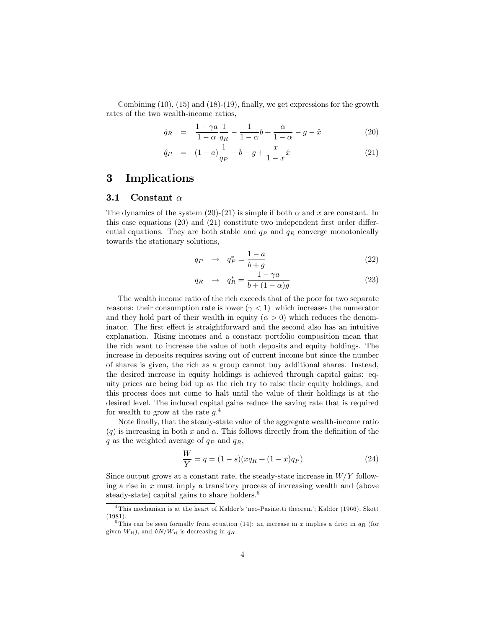Combining  $(10)$ ,  $(15)$  and  $(18)-(19)$ , finally, we get expressions for the growth rates of the two wealth-income ratios,

$$
\hat{q}_R = \frac{1 - \gamma a}{1 - \alpha} \frac{1}{q_R} - \frac{1}{1 - \alpha} b + \frac{\dot{\alpha}}{1 - \alpha} - g - \hat{x} \tag{20}
$$

$$
\hat{q}_P = (1-a)\frac{1}{q_P} - b - g + \frac{x}{1-x}\hat{x} \tag{21}
$$

#### 3 Implications

#### 3.1 Constant  $\alpha$

The dynamics of the system (20)-(21) is simple if both  $\alpha$  and x are constant. In this case equations  $(20)$  and  $(21)$  constitute two independent first order differential equations. They are both stable and  $q_P$  and  $q_R$  converge monotonically towards the stationary solutions,

$$
q_P \rightarrow q_P^* = \frac{1-a}{b+g} \tag{22}
$$

$$
q_R \rightarrow q_R^* = \frac{1 - \gamma a}{b + (1 - \alpha)g} \tag{23}
$$

The wealth income ratio of the rich exceeds that of the poor for two separate reasons: their consumption rate is lower  $(\gamma < 1)$  which increases the numerator and they hold part of their wealth in equity  $(\alpha > 0)$  which reduces the denominator. The first effect is straightforward and the second also has an intuitive explanation. Rising incomes and a constant portfolio composition mean that the rich want to increase the value of both deposits and equity holdings. The increase in deposits requires saving out of current income but since the number of shares is given, the rich as a group cannot buy additional shares. Instead, the desired increase in equity holdings is achieved through capital gains: equity prices are being bid up as the rich try to raise their equity holdings, and this process does not come to halt until the value of their holdings is at the desired level. The induced capital gains reduce the saving rate that is required for wealth to grow at the rate  $q<sup>4</sup>$ .

Note finally, that the steady-state value of the aggregate wealth-income ratio (q) is increasing in both x and  $\alpha$ . This follows directly from the definition of the q as the weighted average of  $q_P$  and  $q_R$ ,

$$
\frac{W}{Y} = q = (1 - s)(xq_R + (1 - x)q_P)
$$
\n(24)

Since output grows at a constant rate, the steady-state increase in  $W/Y$  following a rise in  $x$  must imply a transitory process of increasing wealth and (above steady-state) capital gains to share holders.<sup>5</sup>

 $\overline{4}$ This mechanism is at the heart of Kaldor's 'neo-Pasinetti theorem'; Kaldor (1966), Skott (1981).

<sup>&</sup>lt;sup>5</sup>This can be seen formally from equation (14): an increase in x implies a drop in  $q_R$  (for given  $W_R$ ), and  $\dot{v}N/W_R$  is decreasing in  $q_R$ .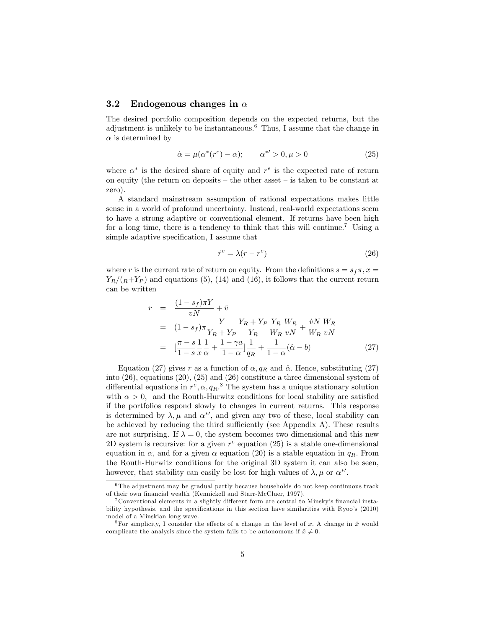#### 3.2 Endogenous changes in  $\alpha$

The desired portfolio composition depends on the expected returns, but the adjustment is unlikely to be instantaneous.<sup>6</sup> Thus, I assume that the change in  $\alpha$  is determined by

$$
\dot{\alpha} = \mu(\alpha^*(r^e) - \alpha); \qquad \alpha^{*'} > 0, \mu > 0 \tag{25}
$$

where  $\alpha^*$  is the desired share of equity and  $r^e$  is the expected rate of return on equity (the return on deposits  $-\text{ the other asset } - \text{ is taken to be constant at }$ zero).

A standard mainstream assumption of rational expectations makes little sense in a world of profound uncertainty. Instead, real-world expectations seem to have a strong adaptive or conventional element. If returns have been high for a long time, there is a tendency to think that this will continue.<sup>7</sup> Using a simple adaptive specification, I assume that

$$
\dot{r}^e = \lambda (r - r^e) \tag{26}
$$

where r is the current rate of return on equity. From the definitions  $s = s_f \pi$ ,  $x =$  $Y_R/(R+Y_P)$  and equations (5), (14) and (16), it follows that the current return can be written

$$
r = \frac{(1 - s_f)\pi Y}{vN} + \hat{v}
$$
  
=  $(1 - s_f)\pi \frac{Y}{Y_R + Y_P} \frac{Y_R + Y_P}{Y_R} \frac{Y_R}{W_R} \frac{W_R}{wN} + \frac{\dot{v}N}{W_R} \frac{W_R}{vN}$   
=  $\left[\frac{\pi - s}{1 - s} \frac{1}{x} \frac{1}{\alpha} + \frac{1 - \gamma a}{1 - \alpha} \right] \frac{1}{q_R} + \frac{1}{1 - \alpha} (\hat{\alpha} - b)$  (27)

Equation (27) gives r as a function of  $\alpha$ ,  $q_R$  and  $\hat{\alpha}$ . Hence, substituting (27) into (26), equations (20), (25) and (26) constitute a three dimensional system of differential equations in  $r^e, \alpha, q_R$ .<sup>8</sup> The system has a unique stationary solution with  $\alpha > 0$ , and the Routh-Hurwitz conditions for local stability are satisfied if the portfolios respond slowly to changes in current returns. This response is determined by  $\lambda, \mu$  and  $\alpha^*$ , and given any two of these, local stability can be achieved by reducing the third sufficiently (see Appendix A). These results are not surprising. If  $\lambda = 0$ , the system becomes two dimensional and this new 2D system is recursive: for a given  $r^e$  equation (25) is a stable one-dimensional equation in  $\alpha$ , and for a given  $\alpha$  equation (20) is a stable equation in  $q_R$ . From the Routh-Hurwitz conditions for the original 3D system it can also be seen, however, that stability can easily be lost for high values of  $\lambda, \mu$  or  $\alpha^{*'}$ .

<sup>6</sup> The adjustment may be gradual partly because households do not keep continuous track of their own financial wealth (Kennickell and Starr-McCluer, 1997).

 $7$  Conventional elements in a slightly different form are central to Minsky's financial instability hypothesis, and the specifications in this section have similarities with Ryoo's (2010) model of a Minskian long wave.

<sup>&</sup>lt;sup>8</sup>For simplicity, I consider the effects of a change in the level of x. A change in  $\hat{x}$  would complicate the analysis since the system fails to be autonomous if  $\hat{x} \neq 0$ .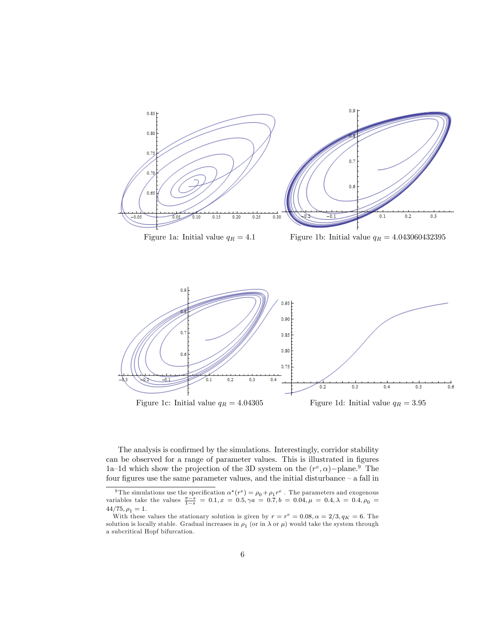

Figure 1a: Initial value  $q_R = 4.1$  Figure 1b: Initial value  $q_R = 4.043060432395$ 





The analysis is confirmed by the simulations. Interestingly, corridor stability can be observed for a range of parameter values. This is illustrated in figures 1a–1d which show the projection of the 3D system on the  $(r^e, \alpha)$ –plane.<sup>9</sup> The four figures use the same parameter values, and the initial disturbance  $-$  a fall in

<sup>&</sup>lt;sup>9</sup>The simulations use the specification  $\alpha^*(r^e) = \rho_0 + \rho_1 r^e$ . The parameters and exogenous variables take the values  $\frac{\pi - s}{1 - s} = 0.1$ ,  $x = 0.5$ ,  $\gamma a = 0.7$ ,  $b = 0.04$ ,  $\mu = 0.4$ ,  $\lambda = 0.4$ ,  $\rho_0 = 0.1$ .  $44/75, \rho_1 = 1.$ 

With these values the stationary solution is given by  $r = r^e = 0.08, \alpha = 2/3, q<sub>K</sub> = 6$ . The solution is locally stable. Gradual increases in  $\rho_1$  (or in  $\lambda$  or  $\mu$ ) would take the system through a subcritical Hopf bifurcation.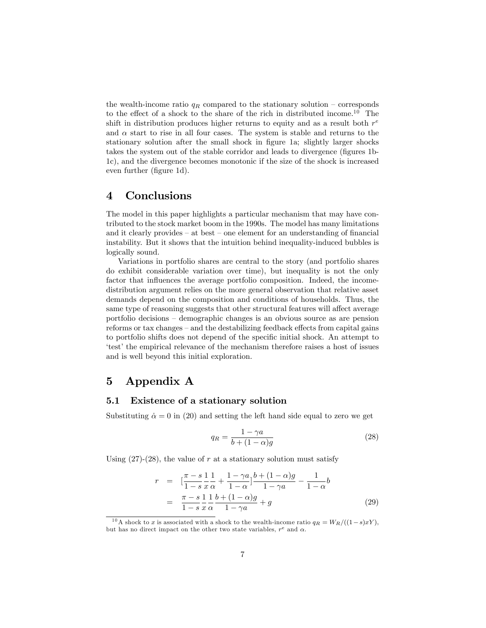the wealth-income ratio  $q_R$  compared to the stationary solution – corresponds to the effect of a shock to the share of the rich in distributed income.<sup>10</sup> The shift in distribution produces higher returns to equity and as a result both  $r^e$ and  $\alpha$  start to rise in all four cases. The system is stable and returns to the stationary solution after the small shock in figure 1a; slightly larger shocks takes the system out of the stable corridor and leads to divergence (figures 1b-1c), and the divergence becomes monotonic if the size of the shock is increased even further (figure 1d).

### 4 Conclusions

The model in this paper highlights a particular mechanism that may have contributed to the stock market boom in the 1990s. The model has many limitations and it clearly provides  $-$  at best  $-$  one element for an understanding of financial instability. But it shows that the intuition behind inequality-induced bubbles is logically sound.

Variations in portfolio shares are central to the story (and portfolio shares do exhibit considerable variation over time), but inequality is not the only factor that influences the average portfolio composition. Indeed, the incomedistribution argument relies on the more general observation that relative asset demands depend on the composition and conditions of households. Thus, the same type of reasoning suggests that other structural features will affect average portfolio decisions – demographic changes is an obvious source as are pension reforms or tax changes  $-$  and the destabilizing feedback effects from capital gains to portfolio shifts does not depend of the specific initial shock. An attempt to test the empirical relevance of the mechanism therefore raises a host of issues and is well beyond this initial exploration.

### 5 Appendix A

#### 5.1 Existence of a stationary solution

Substituting  $\dot{\alpha} = 0$  in (20) and setting the left hand side equal to zero we get

$$
q_R = \frac{1 - \gamma a}{b + (1 - \alpha)g} \tag{28}
$$

Using  $(27)-(28)$ , the value of r at a stationary solution must satisfy

$$
r = \left[\frac{\pi - s}{1 - s}\frac{1}{x}\frac{1}{\alpha} + \frac{1 - \gamma a}{1 - \alpha}\right] \frac{b + (1 - \alpha)g}{1 - \gamma a} - \frac{1}{1 - \alpha}b
$$
  
= 
$$
\frac{\pi - s}{1 - s}\frac{1}{x}\frac{1}{\alpha} \frac{b + (1 - \alpha)g}{1 - \gamma a} + g
$$
(29)

<sup>&</sup>lt;sup>10</sup>A shock to x is associated with a shock to the wealth-income ratio  $q_R = W_R/((1-s)xY)$ , but has no direct impact on the other two state variables,  $r^e$  and  $\alpha$ .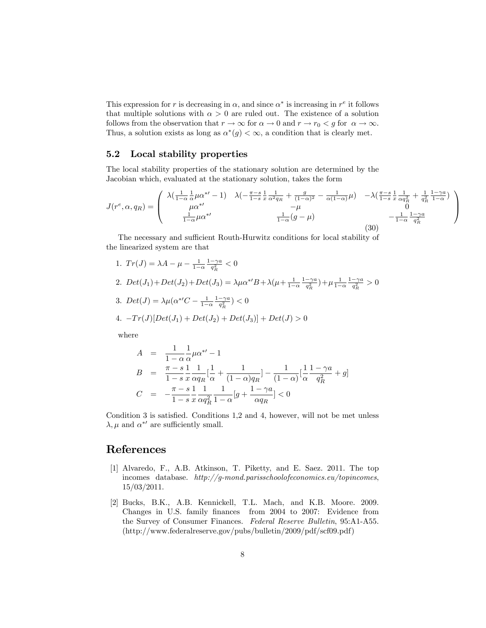This expression for r is decreasing in  $\alpha$ , and since  $\alpha^*$  is increasing in r<sup>e</sup> it follows that multiple solutions with  $\alpha > 0$  are ruled out. The existence of a solution follows from the observation that  $r \to \infty$  for  $\alpha \to 0$  and  $r \to r_0 < g$  for  $\alpha \to \infty$ . Thus, a solution exists as long as  $\alpha^*(g) < \infty$ , a condition that is clearly met.

#### 5.2 Local stability properties

The local stability properties of the stationary solution are determined by the Jacobian which, evaluated at the stationary solution, takes the form

$$
J(r^{e}, \alpha, q_{R}) = \begin{pmatrix} \lambda(\frac{1}{1-\alpha}\frac{1}{\alpha}\mu\alpha^{*} - 1) & \lambda(-\frac{\pi-s}{1-s}\frac{1}{x}\frac{1}{\alpha^{2}q_{R}} + \frac{g}{(1-\alpha)^{2}} - \frac{1}{\alpha(1-\alpha)}\mu) & -\lambda(\frac{\pi-s}{1-s}\frac{1}{x}\frac{1}{\alpha q_{R}^{2}} + \frac{1}{q_{R}^{2}}\frac{1-\gamma a}{1-\alpha}) \\ \mu\alpha^{*} & -\mu & 0 \\ \frac{1}{1-\alpha}\mu\alpha^{*} & \frac{1}{1-\alpha}(g-\mu) & -\frac{1}{1-\alpha}\frac{1-\gamma a}{q_{R}^{2}} \end{pmatrix}
$$
(30)

The necessary and sufficient Routh-Hurwitz conditions for local stability of the linearized system are that

1.  $Tr(J) = \lambda A - \mu - \frac{1}{1-\alpha} \frac{1-\gamma a}{q_R^2} < 0$ 2.  $Det(J_1) + Det(J_2) + Det(J_3) = \lambda \mu \alpha^{*'} B + \lambda (\mu + \frac{1}{1-\alpha} \frac{1-\gamma a}{q_R^2}) + \mu \frac{1}{1-\alpha} \frac{1-\gamma a}{q_R^2} > 0$ 3.  $Det(J) = \lambda \mu (\alpha^{*'}C - \frac{1}{1-\alpha} \frac{1-\gamma a}{q_R^2}) < 0$ 4.  $-Tr(J)[Det(J_1)+Det(J_2)+Det(J_3)]+Det(J) > 0$ 

where

$$
A = \frac{1}{1 - \alpha} \frac{1}{\alpha} \mu \alpha^{*'} - 1
$$
  
\n
$$
B = \frac{\pi - s}{1 - s} \frac{1}{x} \frac{1}{\alpha q_R} \left[ \frac{1}{\alpha} + \frac{1}{(1 - \alpha) q_R} \right] - \frac{1}{(1 - \alpha)} \left[ \frac{1}{\alpha} \frac{1 - \gamma a}{q_R^2} + g \right]
$$
  
\n
$$
C = -\frac{\pi - s}{1 - s} \frac{1}{x} \frac{1}{\alpha q_R^2} \frac{1}{1 - \alpha} [g + \frac{1 - \gamma a}{\alpha q_R}] < 0
$$

Condition  $3$  is satisfied. Conditions 1,2 and 4, however, will not be met unless  $\lambda, \mu$  and  $\alpha^{*'}$  are sufficiently small.

### References

- [1] Alvaredo, F., A.B. Atkinson, T. Piketty, and E. Saez. 2011. The top incomes database. http://g-mond.parisschoolofeconomics.eu/topincomes, 15/03/2011.
- [2] Bucks, B.K., A.B. Kennickell, T.L. Mach, and K.B. Moore. 2009. Changes in U.S. family Önances from 2004 to 2007: Evidence from the Survey of Consumer Finances. Federal Reserve Bulletin, 95:A1-A55. (http://www.federalreserve.gov/pubs/bulletin/2009/pdf/scf09.pdf)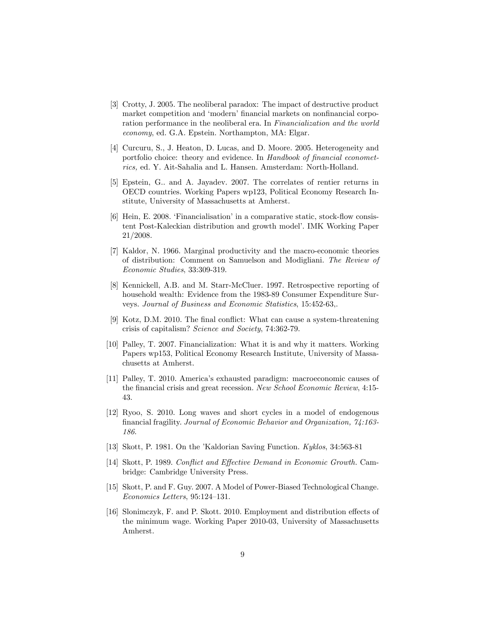- [3] Crotty, J. 2005. The neoliberal paradox: The impact of destructive product market competition and 'modern' financial markets on nonfinancial corporation performance in the neoliberal era. In Financialization and the world economy, ed. G.A. Epstein. Northampton, MA: Elgar.
- [4] Curcuru, S., J. Heaton, D. Lucas, and D. Moore. 2005. Heterogeneity and portfolio choice: theory and evidence. In Handbook of financial econometrics, ed. Y. Ait-Sahalia and L. Hansen. Amsterdam: North-Holland.
- [5] Epstein, G.. and A. Jayadev. 2007. The correlates of rentier returns in OECD countries. Working Papers wp123, Political Economy Research Institute, University of Massachusetts at Amherst.
- $[6]$  Hein, E. 2008. 'Financialisation' in a comparative static, stock-flow consistent Post-Kaleckian distribution and growth model'. IMK Working Paper 21/2008.
- [7] Kaldor, N. 1966. Marginal productivity and the macro-economic theories of distribution: Comment on Samuelson and Modigliani. The Review of Economic Studies, 33:309-319.
- [8] Kennickell, A.B. and M. Starr-McCluer. 1997. Retrospective reporting of household wealth: Evidence from the 1983-89 Consumer Expenditure Surveys. Journal of Business and Economic Statistics, 15:452-63,.
- [9] Kotz, D.M. 2010. The final conflict: What can cause a system-threatening crisis of capitalism? Science and Society, 74:362-79.
- [10] Palley, T. 2007. Financialization: What it is and why it matters. Working Papers wp153, Political Economy Research Institute, University of Massachusetts at Amherst.
- [11] Palley, T. 2010. Americaís exhausted paradigm: macroeconomic causes of the financial crisis and great recession. New School Economic Review, 4:15-43.
- [12] Ryoo, S. 2010. Long waves and short cycles in a model of endogenous financial fragility. Journal of Economic Behavior and Organization, 74:163-186.
- [13] Skott, P. 1981. On the íKaldorian Saving Function. Kyklos, 34:563-81
- [14] Skott, P. 1989. Conflict and Effective Demand in Economic Growth. Cambridge: Cambridge University Press.
- [15] Skott, P. and F. Guy. 2007. A Model of Power-Biased Technological Change.  $Economics$  Letters, 95:124-131.
- [16] Slonimczyk, F. and P. Skott. 2010. Employment and distribution effects of the minimum wage. Working Paper 2010-03, University of Massachusetts Amherst.